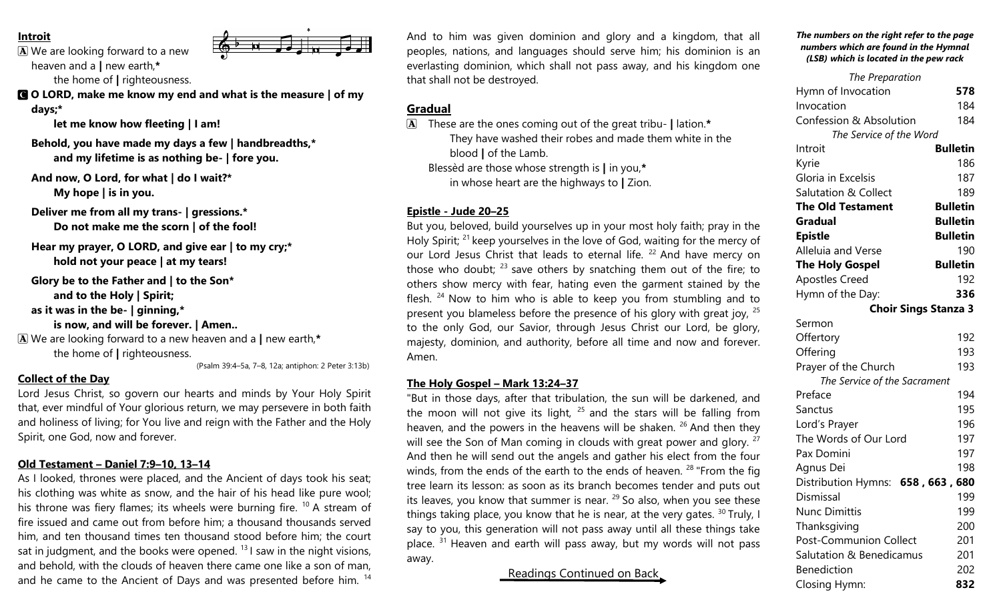### **Introit**

A We are looking forward to a new heaven and a **|** new earth,**\*** the home of **|** righteousness.



C **O LORD, make me know my end and what is the measure | of my days;\***

**let me know how fleeting | I am!**

**Behold, you have made my days a few | handbreadths,\* and my lifetime is as nothing be- | fore you.**

**And now, O Lord, for what | do I wait?\* My hope | is in you.**

**Deliver me from all my trans- | gressions.\* Do not make me the scorn | of the fool!**

**Hear my prayer, O LORD, and give ear | to my cry;\* hold not your peace | at my tears!**

**Glory be to the Father and | to the Son\* and to the Holy | Spirit;**

**as it was in the be- | ginning,\***

**is now, and will be forever. | Amen..**

A We are looking forward to a new heaven and a **|** new earth,**\*** the home of **|** righteousness.

(Psalm 39:4–5a, 7–8, 12a; antiphon: 2 Peter 3:13b)

# **Collect of the Day**

Lord Jesus Christ, so govern our hearts and minds by Your Holy Spirit that, ever mindful of Your glorious return, we may persevere in both faith and holiness of living; for You live and reign with the Father and the Holy Spirit, one God, now and forever.

## **Old Testament – Daniel 7:9–10, 13–14**

As I looked, thrones were placed, and the Ancient of days took his seat; his clothing was white as snow, and the hair of his head like pure wool; his throne was fiery flames; its wheels were burning fire.  $10$  A stream of fire issued and came out from before him; a thousand thousands served him, and ten thousand times ten thousand stood before him; the court sat in judgment, and the books were opened.  $131$  saw in the night visions, and behold, with the clouds of heaven there came one like a son of man, and he came to the Ancient of Days and was presented before him. <sup>14</sup> And to him was given dominion and glory and a kingdom, that all peoples, nations, and languages should serve him; his dominion is an everlasting dominion, which shall not pass away, and his kingdom one that shall not be destroyed.

# **Gradual**

A These are the ones coming out of the great tribu- **|** lation.**\*** They have washed their robes and made them white in the blood **|** of the Lamb. Blessèd are those whose strength is **|** in you,**\*** in whose heart are the highways to **|** Zion.

#### **Epistle - Jude 20–25**

But you, beloved, build yourselves up in your most holy faith; pray in the Holy Spirit; <sup>21</sup> keep yourselves in the love of God, waiting for the mercy of our Lord Jesus Christ that leads to eternal life.  $22$  And have mercy on those who doubt;  $^{23}$  save others by snatching them out of the fire; to others show mercy with fear, hating even the garment stained by the flesh.  $24$  Now to him who is able to keep you from stumbling and to present you blameless before the presence of his glory with great joy, <sup>25</sup> to the only God, our Savior, through Jesus Christ our Lord, be glory, majesty, dominion, and authority, before all time and now and forever. Amen.

#### **The Holy Gospel – Mark 13:24–37**

"But in those days, after that tribulation, the sun will be darkened, and the moon will not give its light,  $25$  and the stars will be falling from heaven, and the powers in the heavens will be shaken.  $26$  And then they will see the Son of Man coming in clouds with great power and glory. <sup>27</sup> And then he will send out the angels and gather his elect from the four winds, from the ends of the earth to the ends of heaven.  $28$  "From the fig tree learn its lesson: as soon as its branch becomes tender and puts out its leaves, you know that summer is near.  $^{29}$  So also, when you see these things taking place, you know that he is near, at the very gates.  $30$  Truly, I say to you, this generation will not pass away until all these things take place.  $31$  Heaven and earth will pass away, but my words will not pass away.

Readings Continued on Back

#### *The numbers on the right refer to the page numbers which are found in the Hymnal (LSB) which is located in the pew rack*

| The Preparation                    |                 |
|------------------------------------|-----------------|
| Hymn of Invocation                 | 578             |
| Invocation                         | 184             |
| <b>Confession &amp; Absolution</b> | 184             |
| The Service of the Word            |                 |
| Introit                            | <b>Bulletin</b> |
| Kyrie                              | 186             |
| Gloria in Excelsis                 | 187             |
| <b>Salutation &amp; Collect</b>    | 189             |
| <b>The Old Testament</b>           | <b>Bulletin</b> |
| <b>Gradual</b>                     | <b>Bulletin</b> |
| <b>Epistle</b>                     | <b>Bulletin</b> |
| Alleluia and Verse                 | 190             |
| <b>The Holy Gospel</b>             | <b>Bulletin</b> |
| <b>Apostles Creed</b>              | 192             |
| Hymn of the Day:                   | 336             |
| <b>Choir Sings Stanza 3</b>        |                 |
| Sermon                             |                 |
| Offertory                          | 192             |
| Offering                           | 193             |
| Prayer of the Church               | 193             |
| The Service of the Sacrament       |                 |
| Preface                            | 194             |
| Sanctus                            | 195             |
| Lord's Prayer                      | 196             |
| The Words of Our Lord              | 197             |
| Pax Domini                         | 197             |
| Agnus Dei                          | 198             |
| Distribution Hymns: 658, 663, 680  |                 |
| Dismissal                          | 199             |
| <b>Nunc Dimittis</b>               | 199             |
| Thanksgiving                       | 200             |
| <b>Post-Communion Collect</b>      | 201             |
| Salutation & Benedicamus           | 201             |
| <b>Benediction</b>                 | 202             |
| Closina Hymn:                      | 832             |